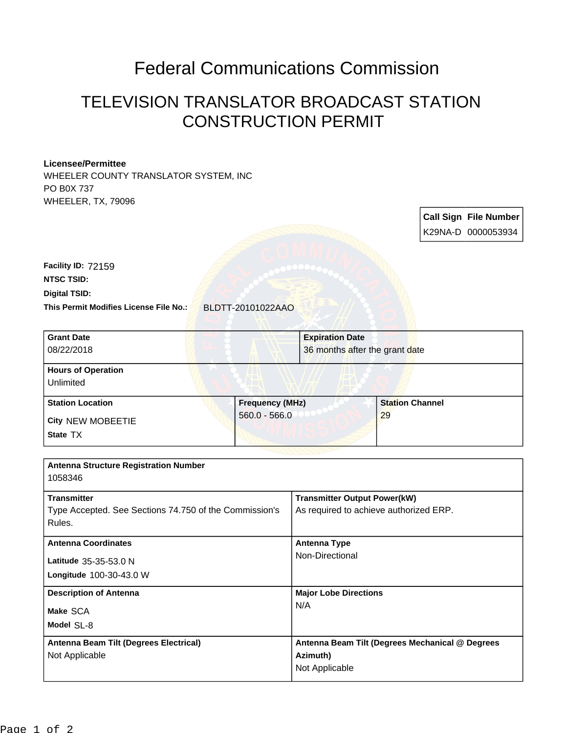## Federal Communications Commission

## TELEVISION TRANSLATOR BROADCAST STATION CONSTRUCTION PERMIT

## **Licensee/Permittee**

WHEELER COUNTY TRANSLATOR SYSTEM, INC PO B0X 737 WHEELER, TX, 79096

|                                                                                                                                                                                      |                        |                                                                                       |                        |    | <b>Call Sign File Number</b><br>K29NA-D 0000053934 |  |
|--------------------------------------------------------------------------------------------------------------------------------------------------------------------------------------|------------------------|---------------------------------------------------------------------------------------|------------------------|----|----------------------------------------------------|--|
| Facility ID: 72159<br><b>NTSC TSID:</b><br><b>Digital TSID:</b><br>This Permit Modifies License File No.:                                                                            | BLDTT-20101022AAO      |                                                                                       |                        |    |                                                    |  |
| <b>Grant Date</b><br>08/22/2018                                                                                                                                                      |                        | <b>Expiration Date</b><br>36 months after the grant date                              |                        |    |                                                    |  |
| <b>Hours of Operation</b><br>Unlimited                                                                                                                                               |                        |                                                                                       |                        |    |                                                    |  |
| <b>Station Location</b>                                                                                                                                                              | <b>Frequency (MHz)</b> |                                                                                       | <b>Station Channel</b> |    |                                                    |  |
| City NEW MOBEETIE<br>State TX                                                                                                                                                        | $560.0 - 566.0$        |                                                                                       |                        | 29 |                                                    |  |
|                                                                                                                                                                                      |                        |                                                                                       |                        |    |                                                    |  |
| <b>Antenna Structure Registration Number</b><br>1058346                                                                                                                              |                        |                                                                                       |                        |    |                                                    |  |
| <b>Transmitter</b><br>$\tau$ as a finite state of $\Omega$ , $\Omega$ , $\Omega$ , $\Omega$ and $\tau$ and $\sigma$ and $\sigma$ and $\sigma$ and $\sigma$ and $\sigma$ and $\sigma$ |                        | <b>Transmitter Output Power(kW)</b><br>A sharehold the subtract state sales diffining |                        |    |                                                    |  |

| Type Accepted. See Sections 74.750 of the Commission's<br>Rules.               | As required to achieve authorized ERP.                                        |
|--------------------------------------------------------------------------------|-------------------------------------------------------------------------------|
| <b>Antenna Coordinates</b><br>Latitude 35-35-53.0 N<br>Longitude 100-30-43.0 W | <b>Antenna Type</b><br>Non-Directional                                        |
| <b>Description of Antenna</b><br>Make SCA<br>Model SL-8                        | <b>Major Lobe Directions</b><br>N/A                                           |
| Antenna Beam Tilt (Degrees Electrical)<br>Not Applicable                       | Antenna Beam Tilt (Degrees Mechanical @ Degrees<br>Azimuth)<br>Not Applicable |